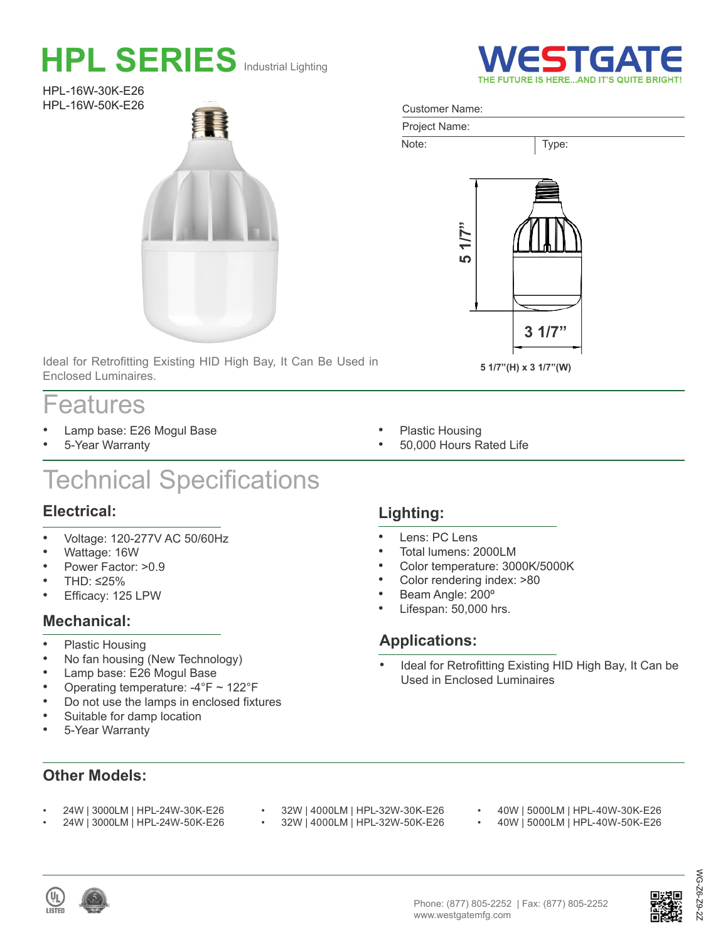# **HPL SERIES** Industrial Lighting

HPL-16W-30K-E26 HPL-16W-50K-E26



Ideal for Retrofitting Existing HID High Bay, It Can Be Used in Enclosed Luminaires.

# Features

- Lamp base: E26 Mogul Base
- 5-Year Warranty

# Technical Specifications

### **Electrical:**

- Voltage: 120-277V AC 50/60Hz
- Wattage: 16W
- Power Factor: >0.9
- THD: ≤25%
- Efficacy: 125 LPW

### **Mechanical:**

- Plastic Housing
- No fan housing (New Technology)
- Lamp base: E26 Mogul Base
- Operating temperature:  $-4^{\circ}F \sim 122^{\circ}F$
- Do not use the lamps in enclosed fixtures
- Suitable for damp location
- 5-Year Warranty

### **Other Models:**

- 24W | 3000LM | HPL-24W-30K-E26 • 24W | 3000LM | HPL-24W-50K-E26
- 32W | 4000LM | HPL-32W-30K-E26<br>• 32W L4000LM LHPL-32W-50K-E26 • 32W | 4000LM | HPL-32W-50K-E26
- 40W | 5000LM | HPL-40W-30K-E26<br>• 40W | 5000LM | HPL-40W-50K-E26
	- 40W | 5000LM | HPL-40W-50K-E26





WG-Z6-Z9-2Z

 $62 -$ 

ຣັ  $92 -$ 

#### Customer Name:



**ESTGA** 

- Plastic Housing
- 50,000 Hours Rated Life

## **Lighting:**

- Lens: PC Lens
- Total lumens: 2000LM
- Color temperature: 3000K/5000K
- Color rendering index: >80
- Beam Angle: 200º
- Lifespan: 50,000 hrs.

## **Applications:**

- Ideal for Retrofitting Existing HID High Bay, It Can be Used in Enclosed Luminaires
-